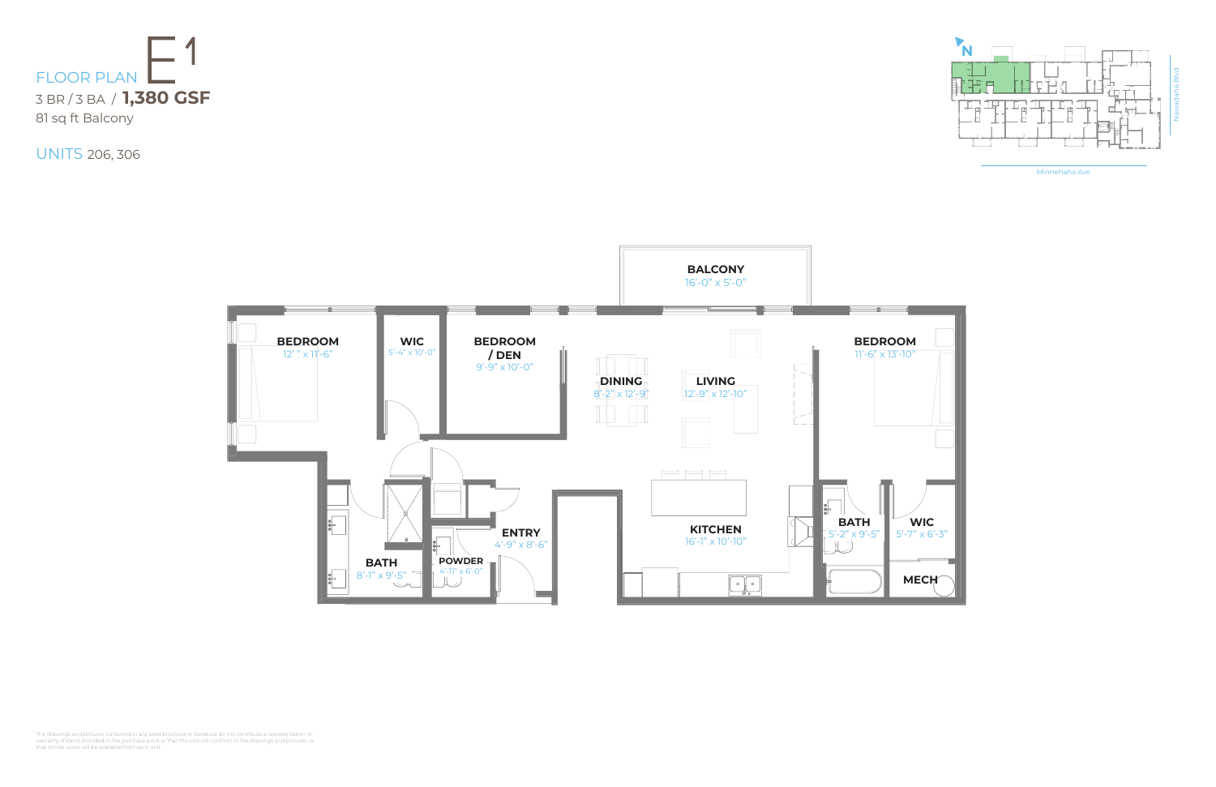Minnehaha Ave





UNITS 206, 306